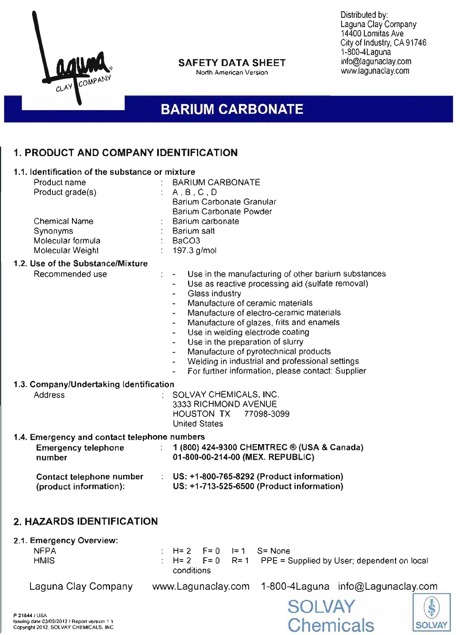

### **SAFETY DATA SHEET**

North American Version

Distributed by: Laguna Clay Company 14400 Lomitas Ave City of Industry, CA 91746 1-800-4Laguna info@lagunaclay.com www.lagunaclay.com

# **BARIUM CARBONATE**

## 1. **PRODUCT AND COMPANY IDENTIFICATION** -------------------

#### 1.1. Identification of the substance or mixture Product name  $B = B = B$ : BARIUM CARBONATE Product grade(s)  $A, B, C, D$ Barium Carbonate Granular Barium Carbonate Powder Chemical Name Barium carbonate **Synonyms** Barium salt Molecular formula BaC03  $\mathcal{L}$ Molecular Weight 197.3 g/mol 1.2. Use of the Substance/Mixture Recommended use Use in the manufacturing of other barium substances Use as reactive processing aid (sulfate removal) Glass industry Manufacture of ceramic materials Manufacture of electro-ceramic materials Manufacture of glazes, frits and enamels Use in welding electrode coating Use in the preparation of slurry Manufacture of pyrotechnical products Welding in industrial and professional settings For further information, please contact: Supplier 1.3. Company/Undertaking Identification Address SOLVAY CHEMICALS, INC. 3333 RICHMOND AVENUE HOUSTON TX 77098-3099 United States 1.4. Emergency and contact telephone numbers Emergency telephone : 1 (800) 424-9300 CHEMTREC ® (USA & Canada) number 01-800-00-214-00 (MEX. REPUBLIC) Contact telephone number US: +1-800-765-8292 (Product information) (product information): US: +1-713-525-6500 (Product information) 2. **HAZARDS IDENTIFICATION**

#### 2.1. Emergency Overview:

| <b>NFPA</b> |            |  | $\pm$ H= 2 F= 0 I= 1 S= None                                     |
|-------------|------------|--|------------------------------------------------------------------|
| <b>HMIS</b> |            |  | $\div$ H= 2 F= 0 R= 1 PPE = Supplied by User; dependent on local |
|             | conditions |  |                                                                  |

Laguna Clay Company

www.Lagunaclay.com 1-800-4Laguna info@Lagunaclay.com





P 21544/ USA Issuing date 03/09/2012 / Report version 1.1 Copyright 2012, SOLVAY CHEMICALS. INC.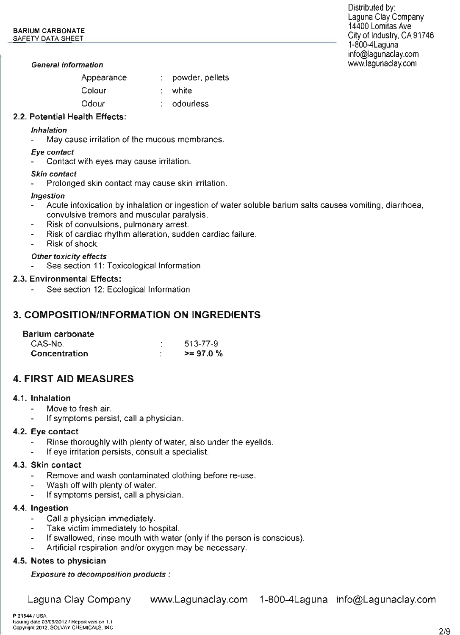#### General Information

| Appearance | powder, pellets |
|------------|-----------------|
|            |                 |

- white
	- odourless

### 2.2. Potential Health Effects:

Colour **Odour** 

#### Inhalation

May cause irritation of the mucous membranes.

#### Eye contact

Contact with eyes may cause irritation.

#### Skin contact

Prolonged skin contact may cause skin irritation.

#### Ingestion

- Acute intoxication by inhalation or ingestion of water soluble barium salts causes vomiting, diarrhoea, convulsive tremors and muscular paralysis.
- Risk of convulsions, pulmonary arrest.
- Risk of cardiac rhythm alteration, sudden cardiac failure. Ĭ.
- Risk of shock.

#### Other toxicity effects

See section 11: Toxicological Information

#### 2.3. Environmental Effects:

See section 12: Ecological Information

### 3. **COMPOSITION/INFORMATION ON INGREDIENTS**

#### Barium carbonate

| CAS-No.       | 513-77-9     |
|---------------|--------------|
| Concentration | $>= 97.0 \%$ |

### 4. **FIRST AID MEASURES**

#### 4.1. Inhalation

- Move to fresh air.
- If symptoms persist, call a physician.

#### 4.2. Eye contact

- Rinse thoroughly with plenty of water, also under the eyelids.
- If eye irritation persists, consult a specialist.

#### 4.3. Skin contact

- Remove and wash contaminated clothing before re-use.
- Wash off with plenty of water.
- If symptoms persist, call a physician.

#### 4.4. Ingestion

- Call a physician immediately.
- Take victim immediately to hospital.
- If swallowed, rinse mouth with water (only if the person is conscious).
- Artificial respiration and/or oxygen may be necessary.

#### 4.5. Notes to physician

Exposure to decomposition products :

Laguna Clay Company www.Lagunaclay.com 1-800-4Laguna info@Lagunaclay.com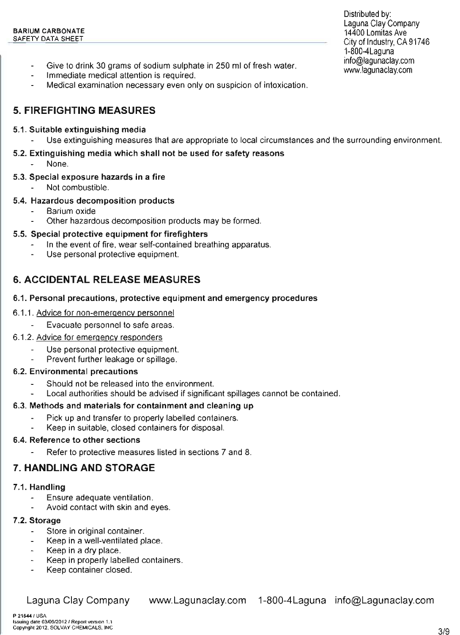- Give to drink 30 grams of sodium sulphate in 250 ml of fresh water.
- Immediate medical attention is required.
- Medical examination necessary even only on suspicion of intoxication.

## 5. **FIREFIGHTING MEASURES**

### 5.1. Suitable extinguishing media

Use extinguishing measures that are appropriate to local circumstances and the surrounding environment.

### 5.2. Extinguishing media which shall not be used for safety reasons

None.

### 5.3. Special exposure hazards in a fire

Not combustible.

### 5.4. Hazardous decomposition products

- Barium oxide
- Other hazardous decomposition products may be formed.

### 5.5. Special protective equipment for firefighters

- In the event of fire, wear self-contained breathing apparatus.
- Use personal protective equipment.

## 6. **ACCIDENTAL RELEASE MEASURES**

### 6.1. Personal precautions, protective equipment and emergency procedures

### 6.1.1. Advice for non-emergency personnel

Evacuate personnel to safe areas.

### 6.1.2. Advice for emergency responders

- Use personal protective equipment.
- Prevent further leakage or spillage.

### 6.2. Environmental precautions

- Should not be released into the environment.
- Local authorities should be advised if significant spillages cannot be contained.

### 6.3. Methods and materials for containment and cleaning up

- Pick up and transfer to properly labelled containers.
- Keep in suitable, closed containers for disposal.

### 6.4. Reference to other sections

Refer to protective measures listed in sections 7 and 8.

## 7. **HANDLING AND STORAGE**

### 7.1. Handling

- Ensure adequate ventilation.
- Avoid contact with skin and eyes.

### 7.2. Storage

- Store in original container.  $\blacksquare$
- Keep in a well-ventilated place.
- Keep in a dry place.
- Keep in properly labelled containers.  $\overline{a}$
- Keep container closed.

Laguna Clay Company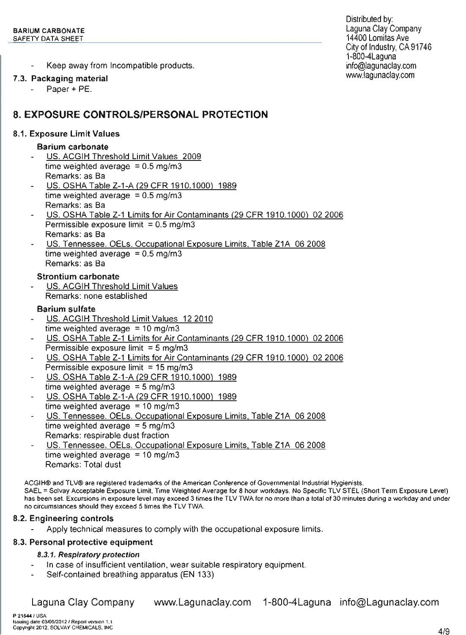Keep away from Incompatible products.

### 7.3. Packaging material

Paper + PE.

## 8. **EXPOSURE CONTROLS/PERSONAL PROTECTION**

### 8.1. Exposure Limit Values

### Barium carbonate

- US. ACGIH Threshold Limit Values 2009 time weighted average  $= 0.5$  mg/m3 Remarks: as Sa
- US. OSHA Table Z-1-A (29 CFR 1910.1000) 1989 time weighted average  $= 0.5$  mg/m3 Remarks: as Sa
- US. OSHA Table Z-1 Limits for Air Contaminants (29 CFR 1910.1000) 02 2006 Permissible exposure limit  $= 0.5$  mg/m3 Remarks: as Sa
- US. Tennessee. OELs. Occupational Exposure Limits, Table Z1A 062008 time weighted average  $= 0.5$  mg/m3 Remarks: as Sa

#### Strontium carbonate

US. ACGIH Threshold Limit Values Remarks: none established

### Barium sulfate

- US. ACGIH Threshold Limit Values 12 2010 time weighted average  $=10$  mg/m3
- US. OSHA Table Z-1 Limits for Air Contaminants (29 CFR 1910.1000) 022006 Permissible exposure limit  $=5$  mg/m3
- US. OSHA Table Z-1 Limits for Air Contaminants (29 CFR 1910.1000) 022006 Permissible exposure limit  $=15$  mg/m3
- US. OSHA Table Z-1-A (29 CFR 1910.1000) 1989 time weighted average  $=5$  mg/m3
- US. OSHA Table Z-1-A (29 CFR 1910.1000) 1989 time weighted average  $=10$  mg/m3
- US. Tennessee. OELs. Occupational Exposure Limits, Table Z1A 06 2008 time weighted average  $=5$  mg/m3 Remarks: respirable dust fraction
- US. Tennessee. OELs. Occupational Exposure Limits, Table Z1A 06 2008 time weighted average =  $10 \text{ mg/m}$ 3 Remarks: Total dust

ACGIH® and TLV® are registered trademarks of the American Conference of Governmental Industrial Hygienists.

SAEL =Solvay Acceptable Exposure Limit, Time Weighted Average for <sup>8</sup> hour workdays. No Specific TLV STEL (Short Term Exposure Level) has been set. Excursions in exposure level may exceed 3 times the TLV TWA for no more than a total of 30 minutes during a workday and under no circumstances should they exceed 5 times the TLV TWA.

### 8.2. Engineering controls

Apply technical measures to comply with the occupational exposure limits.

### 8.3. Personal protective equipment

### 8.3.1. Respiratory protection

- In case of insufficient ventilation, wear suitable respiratory equipment.
- Self-contained breathing apparatus (EN 133)

Laguna Clay Company

www.Lagunaclay.com 1-800-4Laguna info@Lagunaclay.com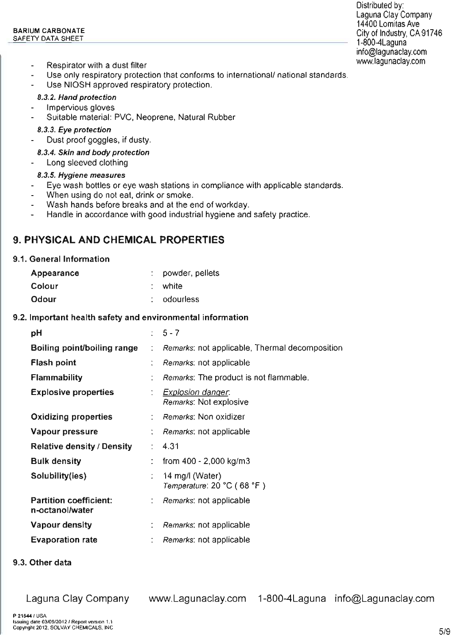- Respirator with a dust filter
- Use only respiratory protection that conforms to international/ national standards,
- Use NIOSH approved respiratory protection.

#### 8.3.2. Hand protection

- Impervious gloves
- Suitable material: PVC, Neoprene, Natural Rubber

#### 8.3.3. Eye protection

Dust proof goggles, if dusty.  $\blacksquare$ 

#### 8.3.4. Skin and body protection

Long sleeved clothing

#### 8.3.5. Hygiene measures

- Eye wash bottles or eye wash stations in compliance with applicable standards.
- When using do not eat, drink or smoke.
- Wash hands before breaks and at the end of workday. ÷.
- Handle in accordance with good industrial hygiene and safety practice. L.

### 9. **PHYSICAL AND CHEMICAL PROPERTIES**

#### 9.1. General Information

| Appearance | : powder, pellets |
|------------|-------------------|
| Colour     | : white           |
| Odour      | $:$ odourless     |

#### 9.2. Important health safety and environmental information

| рH                                               |                | $5 - 7$                                            |
|--------------------------------------------------|----------------|----------------------------------------------------|
| Boiling point/boiling range                      | $\ddot{\cdot}$ | Remarks: not applicable, Thermal decomposition     |
| <b>Flash point</b>                               |                | Remarks: not applicable                            |
| <b>Flammability</b>                              |                | <i>Remarks:</i> The product is not flammable.      |
| <b>Explosive properties</b>                      | ÷.             | <b>Explosion danger.</b><br>Remarks: Not explosive |
| Oxidizing properties                             |                | Remarks: Non oxidizer                              |
| Vapour pressure                                  |                | <i>Remarks</i> : not applicable                    |
| <b>Relative density / Density</b>                | ÷              | 4.31                                               |
| <b>Bulk density</b>                              |                | from $400 - 2,000$ kg/m3                           |
| Solubility(ies)                                  | ÷              | 14 mg/l (Water)<br>Temperature: 20 °C (68 °F)      |
| <b>Partition coefficient:</b><br>n-octanol/water |                | Remarks: not applicable                            |
| <b>Vapour density</b>                            |                | Remarks: not applicable                            |
| <b>Evaporation rate</b>                          |                | Remarks: not applicable                            |
|                                                  |                |                                                    |

9.3. Other data

Laguna Clay Company www.Lagunaclay.com 1-800-4Laguna info@Lagunaclay.com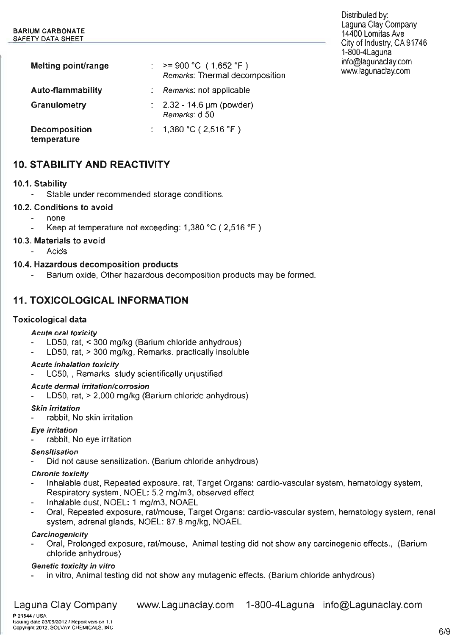| Melting point/range                 | : $> = 900 °C (1,652 °F)$<br>Remarks: Thermal decomposition |
|-------------------------------------|-------------------------------------------------------------|
| Auto-flammability                   | : Remarks: not applicable                                   |
| Granulometry                        | : $2.32 - 14.6 \,\mu m$ (powder)<br>Remarks: d 50           |
| <b>Decomposition</b><br>temperature | : 1,380 °C (2,516 °F)                                       |

## 10. STABILITY AND REACTIVITY

#### 10.1. Stability

Stable under recommended storage conditions.

#### 10.2. Conditions to avoid

- none
- Keep at temperature not exceeding:  $1,380$  °C ( $2,516$  °F)

#### 10.3. Materials to avoid

Acids  $\mathbf{r}$ 

#### 10.4. Hazardous decomposition products

Barium oxide, Other hazardous decomposition products may be formed.

### 11. TOXICOLOGICAL INFORMATION

#### Toxicological data

#### Acute oral toxicity

- LD50, rat, < 300 mg/kg (Barium chloride anhydrous)
- LD50, rat, > 300 mg/kg, Remarks: practically insoluble

#### Acute inhalation toxicity

LC50, , Remarks: study scientifically unjustified

#### Acute dermal irritation/corrosion

LD50, rat, > 2,000 mg/kg (Barium chloride anhydrous)

#### Skin irritation

rabbit, No skin irritation

#### Eye irritation

rabbit, No eye irritation

#### **Sensitisation**

Did not cause sensitization. (Barium chloride anhydrous)

#### Chronic toxicity

- Inhalable dust, Repeated exposure, rat, Target Organs: cardio-vascular system, hematology system, Respiratory system, NOEL: 5.2 mg/m3, observed effect
- Inhalable dust, NOEL: 1 mg/m3, NOAEL
- Oral, Repeated exposure, rat/mouse, Target Organs: cardio-vascular system, hematology system, renal system, adrenal glands, NOEL: 87.8 mg/kg, NOAEL

#### **Carcinogenicity**

Oral, Prolonged exposure, rat/mouse, Animal testing did not show any carcinogenic effects., (Barium chloride anhydrous)

#### Genetic toxicity in vitro

in vitro, Animal testing did not show any mutagenic effects. (Barium chloride anhydrous)

www.Lagunaclay.com 1-800-4Laguna info@Lagunaclay.com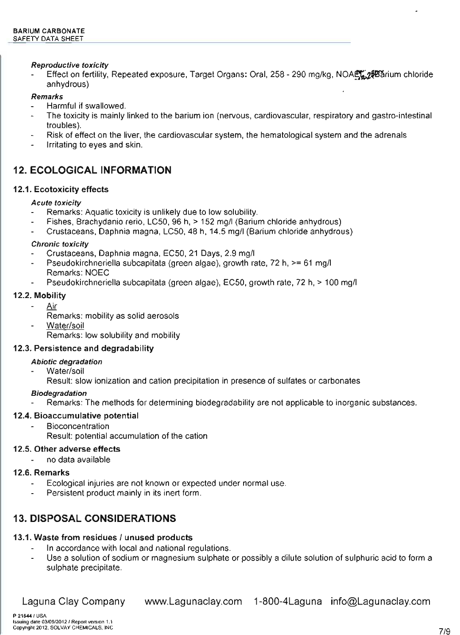#### Reproductive toxicity

Effect on fertility, Repeated exposure, Target Organs: Oral, 258 - 290 mg/kg, NOAEZ 258 arium chloride anhydrous)

#### Remarks

- Harmful if swallowed.
- The toxicity is mainly linked to the barium ion (nervous, cardiovascular, respiratory and gastro-intestinal troubles).
- Risk of effect on the liver, the cardiovascular system, the hematological system and the adrenals
- Irritating to eyes and skin.

### 12. **ECOLOGICAL INFORMATION**

#### 12.1. Ecotoxicity effects

#### Acute toxicity

- Remarks: Aquatic toxicity is unlikely due to low solubility.
- Fishes, Brachydanio rerio, LC50, 96 h, > 152 mg/I (Barium chloride anhydrous)
- Crustaceans, Daphnia magna, LC50, 48 h, 14.5 mg/I (Barium chloride anhydrous)

#### Chronic toxicity

- Crustaceans, Daphnia magna, EC50, 21 Days, 2.9 mg/I
- Pseudokirchneriella subcapitata (green algae), growth rate, 72 h, >= 61 mg/I Remarks: NOEC
- Pseudokirchneriella subcapitata (green algae), EC50, growth rate, 72 h, > 100 mg/I

#### 12.2. Mobility

- Air
	- Remarks: mobility as solid aerosols
- Water/soil

Remarks: low solubility and mobility

#### 12.3. Persistence and degradability

#### Abiotic degradation

- Water/soil
	- Result: slow ionization and cation precipitation in presence of sulfates or carbonates

#### Biodegradation

Remarks: The methods for determining biodegradability are not applicable to inorganic substances.

#### 12.4. Bioaccumulative potential

- **Bioconcentration** 
	- Result: potential accumulation of the cation

#### 12.5. Other adverse effects

no data available

#### 12.6. Remarks

- Ecological injuries are not known or expected under normal use.
- Persistent product mainly in its inert form.

### 13. **DISPOSAL CONSIDERATIONS**

#### 13.1. Waste from residues / unused products

- In accordance with local and national regulations.
- Use a solution of sodium or magnesium sulphate or possibly a dilute solution of sulphuric acid to form a sulphate precipitate.

Laguna Clay Company www.Lagunaclay.com 1-800-4Laguna info@Lagunaclay.com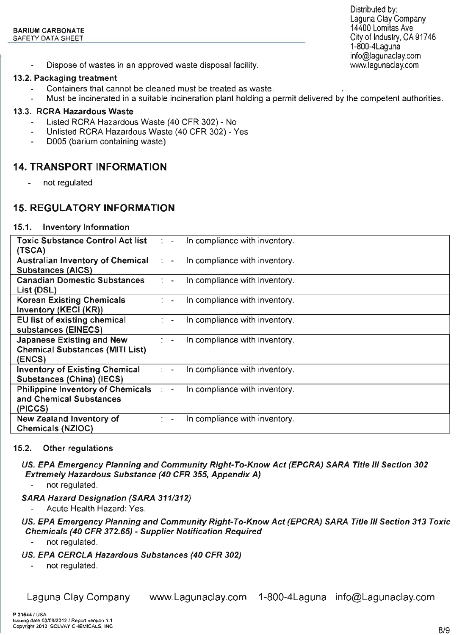Dispose of wastes in an approved waste disposal facility.

#### 13.2. Packaging treatment

- Containers that cannot be cleaned must be treated as waste.
- Must be incinerated in a suitable incineration plant holding a permit delivered by the competent authorities.

#### 13.3. RCRA Hazardous Waste

- Listed RCRA Hazardous Waste (40 CFR 302) No
- Unlisted RCRA Hazardous Waste (40 CFR 302) Yes
- 0005 (barium containing waste)

### 14. **TRANSPORT INFORMATION**

not regulated  $\overline{a}$ 

### 15. **REGULATORY INFORMATION**

#### 15.1. Inventory Information

| Toxic Substance Control Act list : -<br>(TSCA)                                | In compliance with inventory.            |
|-------------------------------------------------------------------------------|------------------------------------------|
| <b>Australian Inventory of Chemical</b>                                       | In compliance with inventory.            |
| <b>Substances (AICS)</b>                                                      | $2 - -$                                  |
| <b>Canadian Domestic Substances</b>                                           | In compliance with inventory.            |
| List (DSL)                                                                    | $\mathcal{L} =$                          |
| <b>Korean Existing Chemicals</b>                                              | In compliance with inventory.            |
| Inventory (KECI (KR))                                                         | $\mathbb{C}$ $\rightarrow$               |
| EU list of existing chemical                                                  | In compliance with inventory.            |
| substances (EINECS)                                                           | $\sim$                                   |
| Japanese Existing and New<br><b>Chemical Substances (MITI List)</b><br>(ENCS) | In compliance with inventory.<br>$7 - -$ |
| <b>Inventory of Existing Chemical</b>                                         | In compliance with inventory.            |
| Substances (China) (IECS)                                                     | $2 - 4$                                  |
| Philippine Inventory of Chemicals : -<br>and Chemical Substances<br>(PICCS)   | In compliance with inventory.            |
| New Zealand Inventory of<br>Chemicals (NZIOC)                                 | In compliance with inventory.            |

#### 15.2. Other regulations

US. EPA Emergency Planning and Community Right-To-Know Act (EPCRA) SARA Title III Section 302 Extremely Hazardous Substance (40 CFR 355, Appendix A)

not regulated.

#### SARA Hazard Designation (SARA 311/312)

Acute Health Hazard: Yes.

### US. EPA Emergency Planning and Community Right-To-Know Act (EPCRA) SARA Title III Section 313 Toxic Chemicals (40 CFR 372.65) - Supplier Notification Required

- not regulated.
- US. EPA CERCLA Hazardous Substances (40 CFR 302)
	- not regulated.

Laguna Clay Company www.Lagunaclay.com 1-800-4Laguna info@Lagunaclay.com